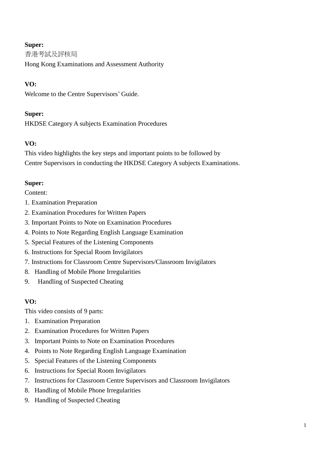香港考試及評核局

Hong Kong Examinations and Assessment Authority

# **VO:**

Welcome to the Centre Supervisors' Guide.

# **Super:**

HKDSE Category A subjects Examination Procedures

# **VO:**

This video highlights the key steps and important points to be followed by Centre Supervisors in conducting the HKDSE Category A subjects Examinations.

# **Super:**

Content:

- 1. Examination Preparation
- 2. Examination Procedures for Written Papers
- 3. Important Points to Note on Examination Procedures
- 4. Points to Note Regarding English Language Examination
- 5. Special Features of the Listening Components
- 6. Instructions for Special Room Invigilators
- 7. Instructions for Classroom Centre Supervisors/Classroom Invigilators
- 8. Handling of Mobile Phone Irregularities
- 9. Handling of Suspected Cheating

## **VO:**

This video consists of 9 parts:

- 1. Examination Preparation
- 2. Examination Procedures for Written Papers
- 3. Important Points to Note on Examination Procedures
- 4. Points to Note Regarding English Language Examination
- 5. Special Features of the Listening Components
- 6. Instructions for Special Room Invigilators
- 7. Instructions for Classroom Centre Supervisors and Classroom Invigilators
- 8. Handling of Mobile Phone Irregularities
- 9. Handling of Suspected Cheating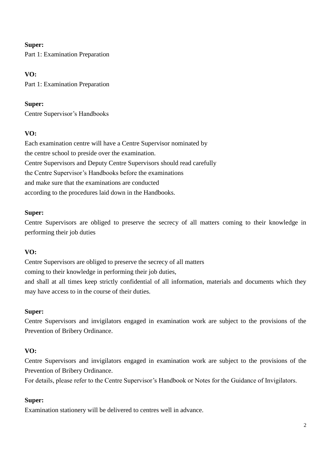Part 1: Examination Preparation

# **VO:**

Part 1: Examination Preparation

# **Super:**

Centre Supervisor's Handbooks

# **VO:**

Each examination centre will have a Centre Supervisor nominated by the centre school to preside over the examination. Centre Supervisors and Deputy Centre Supervisors should read carefully the Centre Supervisor's Handbooks before the examinations and make sure that the examinations are conducted according to the procedures laid down in the Handbooks.

# **Super:**

Centre Supervisors are obliged to preserve the secrecy of all matters coming to their knowledge in performing their job duties

# **VO:**

Centre Supervisors are obliged to preserve the secrecy of all matters coming to their knowledge in performing their job duties, and shall at all times keep strictly confidential of all information, materials and documents which they may have access to in the course of their duties.

## **Super:**

Centre Supervisors and invigilators engaged in examination work are subject to the provisions of the Prevention of Bribery Ordinance.

# **VO:**

Centre Supervisors and invigilators engaged in examination work are subject to the provisions of the Prevention of Bribery Ordinance.

For details, please refer to the Centre Supervisor's Handbook or Notes for the Guidance of Invigilators.

# **Super:**

Examination stationery will be delivered to centres well in advance.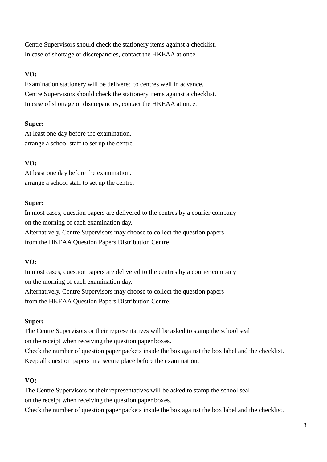Centre Supervisors should check the stationery items against a checklist. In case of shortage or discrepancies, contact the HKEAA at once.

# **VO:**

Examination stationery will be delivered to centres well in advance. Centre Supervisors should check the stationery items against a checklist. In case of shortage or discrepancies, contact the HKEAA at once.

### **Super:**

At least one day before the examination. arrange a school staff to set up the centre.

# **VO:**

At least one day before the examination. arrange a school staff to set up the centre.

### **Super:**

In most cases, question papers are delivered to the centres by a courier company on the morning of each examination day. Alternatively, Centre Supervisors may choose to collect the question papers from the HKEAA Question Papers Distribution Centre

## **VO:**

In most cases, question papers are delivered to the centres by a courier company on the morning of each examination day.

Alternatively, Centre Supervisors may choose to collect the question papers from the HKEAA Question Papers Distribution Centre.

## **Super:**

The Centre Supervisors or their representatives will be asked to stamp the school seal on the receipt when receiving the question paper boxes.

Check the number of question paper packets inside the box against the box label and the checklist. Keep all question papers in a secure place before the examination.

# **VO:**

The Centre Supervisors or their representatives will be asked to stamp the school seal on the receipt when receiving the question paper boxes.

Check the number of question paper packets inside the box against the box label and the checklist.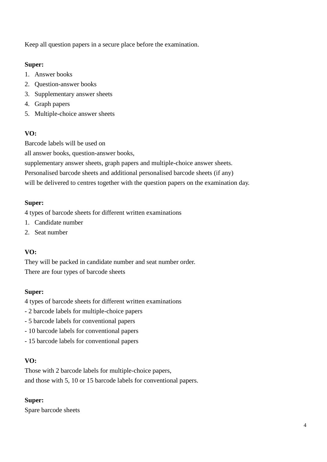Keep all question papers in a secure place before the examination.

## **Super:**

- 1. Answer books
- 2. Question-answer books
- 3. Supplementary answer sheets
- 4. Graph papers
- 5. Multiple-choice answer sheets

# **VO:**

Barcode labels will be used on

all answer books, question-answer books,

supplementary answer sheets, graph papers and multiple-choice answer sheets.

Personalised barcode sheets and additional personalised barcode sheets (if any)

will be delivered to centres together with the question papers on the examination day.

# **Super:**

4 types of barcode sheets for different written examinations

- 1. Candidate number
- 2. Seat number

# **VO:**

They will be packed in candidate number and seat number order. There are four types of barcode sheets

## **Super:**

- 4 types of barcode sheets for different written examinations
- 2 barcode labels for multiple-choice papers
- 5 barcode labels for conventional papers
- 10 barcode labels for conventional papers
- 15 barcode labels for conventional papers

## **VO:**

Those with 2 barcode labels for multiple-choice papers, and those with 5, 10 or 15 barcode labels for conventional papers.

# **Super:**

Spare barcode sheets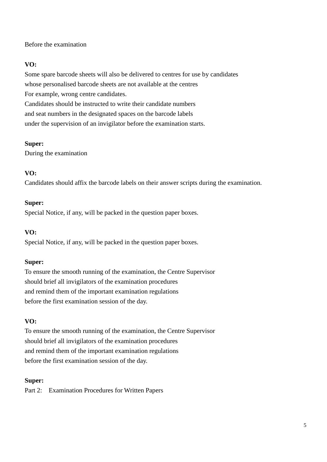Before the examination

# **VO:**

Some spare barcode sheets will also be delivered to centres for use by candidates whose personalised barcode sheets are not available at the centres For example, wrong centre candidates. Candidates should be instructed to write their candidate numbers and seat numbers in the designated spaces on the barcode labels under the supervision of an invigilator before the examination starts.

# **Super:**

During the examination

# **VO:**

Candidates should affix the barcode labels on their answer scripts during the examination.

## **Super:**

Special Notice, if any, will be packed in the question paper boxes.

## **VO:**

Special Notice, if any, will be packed in the question paper boxes.

## **Super:**

To ensure the smooth running of the examination, the Centre Supervisor should brief all invigilators of the examination procedures and remind them of the important examination regulations before the first examination session of the day.

# **VO:**

To ensure the smooth running of the examination, the Centre Supervisor should brief all invigilators of the examination procedures and remind them of the important examination regulations before the first examination session of the day.

## **Super:**

Part 2: Examination Procedures for Written Papers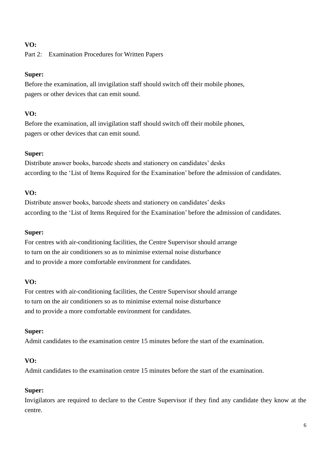Part 2: Examination Procedures for Written Papers

### **Super:**

Before the examination, all invigilation staff should switch off their mobile phones, pagers or other devices that can emit sound.

### **VO:**

Before the examination, all invigilation staff should switch off their mobile phones, pagers or other devices that can emit sound.

### **Super:**

Distribute answer books, barcode sheets and stationery on candidates' desks according to the 'List of Items Required for the Examination' before the admission of candidates.

### **VO:**

Distribute answer books, barcode sheets and stationery on candidates' desks according to the 'List of Items Required for the Examination' before the admission of candidates.

### **Super:**

For centres with air-conditioning facilities, the Centre Supervisor should arrange to turn on the air conditioners so as to minimise external noise disturbance and to provide a more comfortable environment for candidates.

## **VO:**

For centres with air-conditioning facilities, the Centre Supervisor should arrange to turn on the air conditioners so as to minimise external noise disturbance and to provide a more comfortable environment for candidates.

### **Super:**

Admit candidates to the examination centre 15 minutes before the start of the examination.

## **VO:**

Admit candidates to the examination centre 15 minutes before the start of the examination.

## **Super:**

Invigilators are required to declare to the Centre Supervisor if they find any candidate they know at the centre.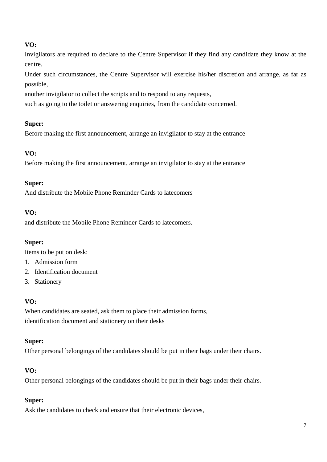Invigilators are required to declare to the Centre Supervisor if they find any candidate they know at the centre.

Under such circumstances, the Centre Supervisor will exercise his/her discretion and arrange, as far as possible,

another invigilator to collect the scripts and to respond to any requests,

such as going to the toilet or answering enquiries, from the candidate concerned.

### **Super:**

Before making the first announcement, arrange an invigilator to stay at the entrance

## **VO:**

Before making the first announcement, arrange an invigilator to stay at the entrance

### **Super:**

And distribute the Mobile Phone Reminder Cards to latecomers

### **VO:**

and distribute the Mobile Phone Reminder Cards to latecomers.

### **Super:**

Items to be put on desk:

- 1. Admission form
- 2. Identification document
- 3. Stationery

## **VO:**

When candidates are seated, ask them to place their admission forms, identification document and stationery on their desks

### **Super:**

Other personal belongings of the candidates should be put in their bags under their chairs.

### **VO:**

Other personal belongings of the candidates should be put in their bags under their chairs.

### **Super:**

Ask the candidates to check and ensure that their electronic devices,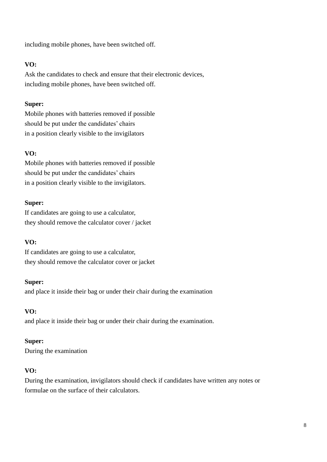including mobile phones, have been switched off.

### **VO:**

Ask the candidates to check and ensure that their electronic devices, including mobile phones, have been switched off.

### **Super:**

Mobile phones with batteries removed if possible should be put under the candidates' chairs in a position clearly visible to the invigilators

## **VO:**

Mobile phones with batteries removed if possible should be put under the candidates' chairs in a position clearly visible to the invigilators.

### **Super:**

If candidates are going to use a calculator, they should remove the calculator cover / jacket

### **VO:**

If candidates are going to use a calculator, they should remove the calculator cover or jacket

### **Super:**

and place it inside their bag or under their chair during the examination

### **VO:**

and place it inside their bag or under their chair during the examination.

### **Super:**

During the examination

### **VO:**

During the examination, invigilators should check if candidates have written any notes or formulae on the surface of their calculators.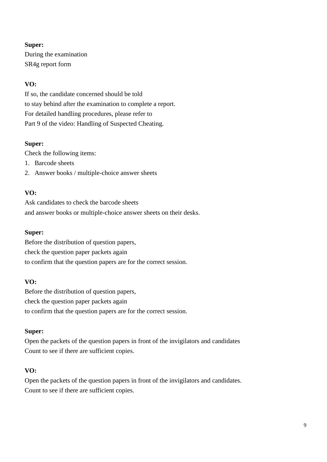During the examination SR4g report form

### **VO:**

If so, the candidate concerned should be told to stay behind after the examination to complete a report. For detailed handling procedures, please refer to Part 9 of the video: Handling of Suspected Cheating.

### **Super:**

Check the following items:

- 1. Barcode sheets
- 2. Answer books / multiple-choice answer sheets

### **VO:**

Ask candidates to check the barcode sheets and answer books or multiple-choice answer sheets on their desks.

#### **Super:**

Before the distribution of question papers, check the question paper packets again to confirm that the question papers are for the correct session.

#### **VO:**

Before the distribution of question papers, check the question paper packets again to confirm that the question papers are for the correct session.

### **Super:**

Open the packets of the question papers in front of the invigilators and candidates Count to see if there are sufficient copies.

### **VO:**

Open the packets of the question papers in front of the invigilators and candidates. Count to see if there are sufficient copies.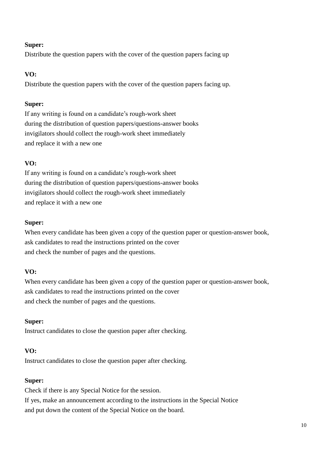Distribute the question papers with the cover of the question papers facing up

## **VO:**

Distribute the question papers with the cover of the question papers facing up.

## **Super:**

If any writing is found on a candidate's rough-work sheet during the distribution of question papers/questions-answer books invigilators should collect the rough-work sheet immediately and replace it with a new one

# **VO:**

If any writing is found on a candidate's rough-work sheet during the distribution of question papers/questions-answer books invigilators should collect the rough-work sheet immediately and replace it with a new one

## **Super:**

When every candidate has been given a copy of the question paper or question-answer book, ask candidates to read the instructions printed on the cover and check the number of pages and the questions.

## **VO:**

When every candidate has been given a copy of the question paper or question-answer book, ask candidates to read the instructions printed on the cover and check the number of pages and the questions.

## **Super:**

Instruct candidates to close the question paper after checking.

## **VO:**

Instruct candidates to close the question paper after checking.

## **Super:**

Check if there is any Special Notice for the session. If yes, make an announcement according to the instructions in the Special Notice and put down the content of the Special Notice on the board.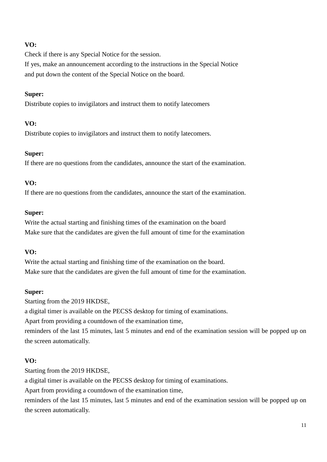Check if there is any Special Notice for the session. If yes, make an announcement according to the instructions in the Special Notice and put down the content of the Special Notice on the board.

### **Super:**

Distribute copies to invigilators and instruct them to notify latecomers

### **VO:**

Distribute copies to invigilators and instruct them to notify latecomers.

#### **Super:**

If there are no questions from the candidates, announce the start of the examination.

### **VO:**

If there are no questions from the candidates, announce the start of the examination.

#### **Super:**

Write the actual starting and finishing times of the examination on the board Make sure that the candidates are given the full amount of time for the examination

### **VO:**

Write the actual starting and finishing time of the examination on the board. Make sure that the candidates are given the full amount of time for the examination.

#### **Super:**

Starting from the 2019 HKDSE, a digital timer is available on the PECSS desktop for timing of examinations. Apart from providing a countdown of the examination time, reminders of the last 15 minutes, last 5 minutes and end of the examination session will be popped up on

### **VO:**

Starting from the 2019 HKDSE,

the screen automatically.

a digital timer is available on the PECSS desktop for timing of examinations.

Apart from providing a countdown of the examination time,

reminders of the last 15 minutes, last 5 minutes and end of the examination session will be popped up on the screen automatically.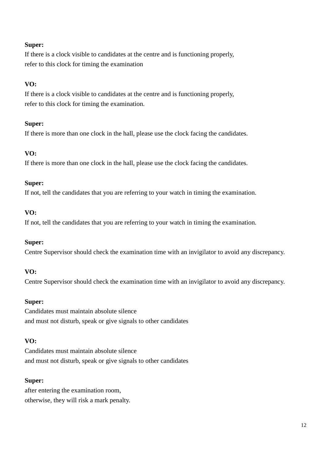If there is a clock visible to candidates at the centre and is functioning properly, refer to this clock for timing the examination

### **VO:**

If there is a clock visible to candidates at the centre and is functioning properly, refer to this clock for timing the examination.

### **Super:**

If there is more than one clock in the hall, please use the clock facing the candidates.

## **VO:**

If there is more than one clock in the hall, please use the clock facing the candidates.

### **Super:**

If not, tell the candidates that you are referring to your watch in timing the examination.

### **VO:**

If not, tell the candidates that you are referring to your watch in timing the examination.

### **Super:**

Centre Supervisor should check the examination time with an invigilator to avoid any discrepancy.

### **VO:**

Centre Supervisor should check the examination time with an invigilator to avoid any discrepancy.

### **Super:**

Candidates must maintain absolute silence and must not disturb, speak or give signals to other candidates

### **VO:**

Candidates must maintain absolute silence and must not disturb, speak or give signals to other candidates

### **Super:**

after entering the examination room, otherwise, they will risk a mark penalty.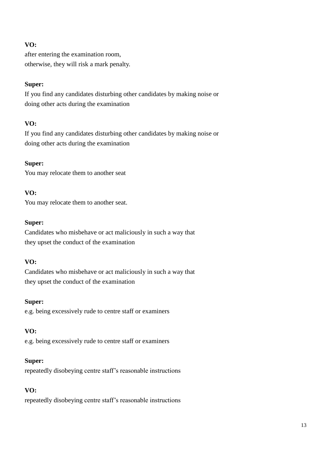after entering the examination room, otherwise, they will risk a mark penalty.

### **Super:**

If you find any candidates disturbing other candidates by making noise or doing other acts during the examination

### **VO:**

If you find any candidates disturbing other candidates by making noise or doing other acts during the examination

### **Super:**

You may relocate them to another seat

### **VO:**

You may relocate them to another seat.

### **Super:**

Candidates who misbehave or act maliciously in such a way that they upset the conduct of the examination

### **VO:**

Candidates who misbehave or act maliciously in such a way that they upset the conduct of the examination

### **Super:**

e.g. being excessively rude to centre staff or examiners

## **VO:**

e.g. being excessively rude to centre staff or examiners

### **Super:**

repeatedly disobeying centre staff's reasonable instructions

### **VO:**

repeatedly disobeying centre staff's reasonable instructions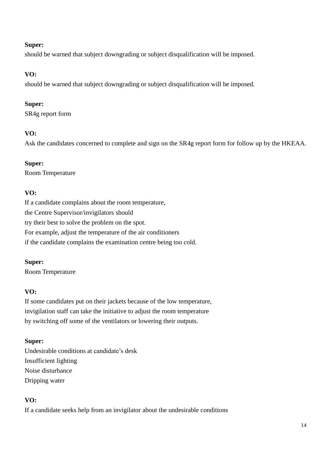should be warned that subject downgrading or subject disqualification will be imposed.

# **VO:**

should be warned that subject downgrading or subject disqualification will be imposed.

# **Super:**

SR4g report form

# **VO:**

Ask the candidates concerned to complete and sign on the SR4g report form for follow up by the HKEAA.

# **Super:**

Room Temperature

# **VO:**

If a candidate complains about the room temperature, the Centre Supervisor/invigilators should try their best to solve the problem on the spot. For example, adjust the temperature of the air conditioners if the candidate complains the examination centre being too cold.

# **Super:**

Room Temperature

# **VO:**

If some candidates put on their jackets because of the low temperature, invigilation staff can take the initiative to adjust the room temperature by switching off some of the ventilators or lowering their outputs.

# **Super:**

Undesirable conditions at candidate's desk Insufficient lighting Noise disturbance Dripping water

# **VO:**

If a candidate seeks help from an invigilator about the undesirable conditions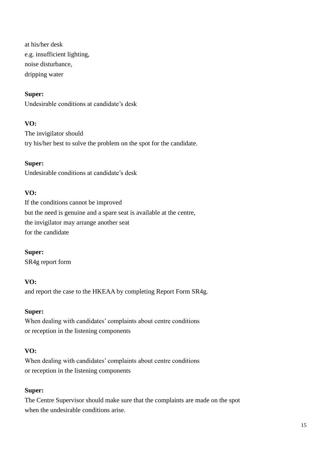at his/her desk e.g. insufficient lighting, noise disturbance, dripping water

#### **Super:**

Undesirable conditions at candidate's desk

#### **VO:**

The invigilator should try his/her best to solve the problem on the spot for the candidate.

#### **Super:**

Undesirable conditions at candidate's desk

#### **VO:**

If the conditions cannot be improved but the need is genuine and a spare seat is available at the centre, the invigilator may arrange another seat for the candidate

**Super:** SR4g report form

### **VO:**

and report the case to the HKEAA by completing Report Form SR4g.

#### **Super:**

When dealing with candidates' complaints about centre conditions or reception in the listening components

### **VO:**

When dealing with candidates' complaints about centre conditions or reception in the listening components

#### **Super:**

The Centre Supervisor should make sure that the complaints are made on the spot when the undesirable conditions arise.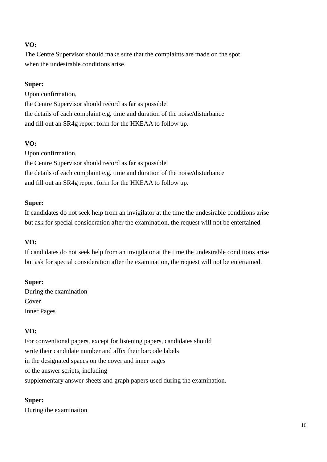The Centre Supervisor should make sure that the complaints are made on the spot when the undesirable conditions arise.

### **Super:**

Upon confirmation,

the Centre Supervisor should record as far as possible the details of each complaint e.g. time and duration of the noise/disturbance and fill out an SR4g report form for the HKEAA to follow up.

# **VO:**

Upon confirmation, the Centre Supervisor should record as far as possible the details of each complaint e.g. time and duration of the noise/disturbance and fill out an SR4g report form for the HKEAA to follow up.

### **Super:**

If candidates do not seek help from an invigilator at the time the undesirable conditions arise but ask for special consideration after the examination, the request will not be entertained.

## **VO:**

If candidates do not seek help from an invigilator at the time the undesirable conditions arise but ask for special consideration after the examination, the request will not be entertained.

### **Super:**

During the examination Cover Inner Pages

## **VO:**

For conventional papers, except for listening papers, candidates should write their candidate number and affix their barcode labels in the designated spaces on the cover and inner pages of the answer scripts, including supplementary answer sheets and graph papers used during the examination.

## **Super:**

During the examination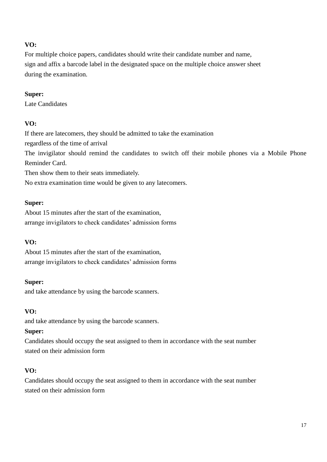For multiple choice papers, candidates should write their candidate number and name, sign and affix a barcode label in the designated space on the multiple choice answer sheet during the examination.

### **Super:**

Late Candidates

## **VO:**

If there are latecomers, they should be admitted to take the examination regardless of the time of arrival The invigilator should remind the candidates to switch off their mobile phones via a Mobile Phone Reminder Card. Then show them to their seats immediately.

No extra examination time would be given to any latecomers.

### **Super:**

About 15 minutes after the start of the examination, arrange invigilators to check candidates' admission forms

## **VO:**

About 15 minutes after the start of the examination, arrange invigilators to check candidates' admission forms

### **Super:**

and take attendance by using the barcode scanners.

## **VO:**

and take attendance by using the barcode scanners.

## **Super:**

Candidates should occupy the seat assigned to them in accordance with the seat number stated on their admission form

## **VO:**

Candidates should occupy the seat assigned to them in accordance with the seat number stated on their admission form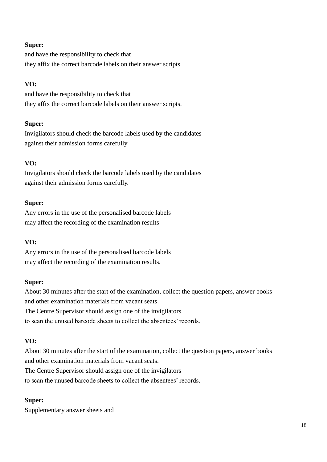and have the responsibility to check that they affix the correct barcode labels on their answer scripts

### **VO:**

and have the responsibility to check that they affix the correct barcode labels on their answer scripts.

### **Super:**

Invigilators should check the barcode labels used by the candidates against their admission forms carefully

## **VO:**

Invigilators should check the barcode labels used by the candidates against their admission forms carefully.

### **Super:**

Any errors in the use of the personalised barcode labels may affect the recording of the examination results

### **VO:**

Any errors in the use of the personalised barcode labels may affect the recording of the examination results.

### **Super:**

About 30 minutes after the start of the examination, collect the question papers, answer books and other examination materials from vacant seats. The Centre Supervisor should assign one of the invigilators to scan the unused barcode sheets to collect the absentees' records.

### **VO:**

About 30 minutes after the start of the examination, collect the question papers, answer books and other examination materials from vacant seats.

The Centre Supervisor should assign one of the invigilators

to scan the unused barcode sheets to collect the absentees' records.

### **Super:**

Supplementary answer sheets and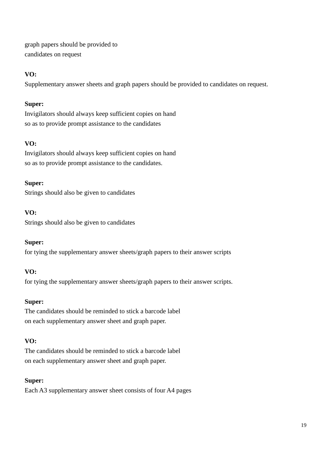graph papers should be provided to candidates on request

# **VO:**

Supplementary answer sheets and graph papers should be provided to candidates on request.

# **Super:**

Invigilators should always keep sufficient copies on hand so as to provide prompt assistance to the candidates

# **VO:**

Invigilators should always keep sufficient copies on hand so as to provide prompt assistance to the candidates.

# **Super:**

Strings should also be given to candidates

# **VO:**

Strings should also be given to candidates

## **Super:**

for tying the supplementary answer sheets/graph papers to their answer scripts

## **VO:**

for tying the supplementary answer sheets/graph papers to their answer scripts.

## **Super:**

The candidates should be reminded to stick a barcode label on each supplementary answer sheet and graph paper.

## **VO:**

The candidates should be reminded to stick a barcode label on each supplementary answer sheet and graph paper.

## **Super:**

Each A3 supplementary answer sheet consists of four A4 pages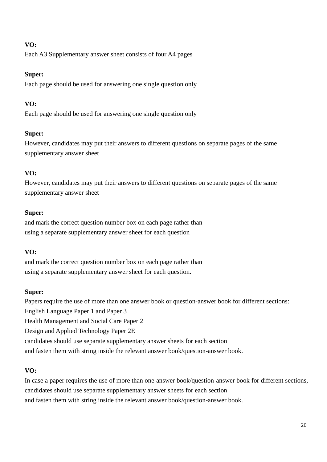Each A3 Supplementary answer sheet consists of four A4 pages

# **Super:**

Each page should be used for answering one single question only

# **VO:**

Each page should be used for answering one single question only

# **Super:**

However, candidates may put their answers to different questions on separate pages of the same supplementary answer sheet

# **VO:**

However, candidates may put their answers to different questions on separate pages of the same supplementary answer sheet

# **Super:**

and mark the correct question number box on each page rather than using a separate supplementary answer sheet for each question

# **VO:**

and mark the correct question number box on each page rather than using a separate supplementary answer sheet for each question.

## **Super:**

Papers require the use of more than one answer book or question-answer book for different sections: English Language Paper 1 and Paper 3 Health Management and Social Care Paper 2 Design and Applied Technology Paper 2E candidates should use separate supplementary answer sheets for each section and fasten them with string inside the relevant answer book/question-answer book.

# **VO:**

In case a paper requires the use of more than one answer book/question-answer book for different sections, candidates should use separate supplementary answer sheets for each section and fasten them with string inside the relevant answer book/question-answer book.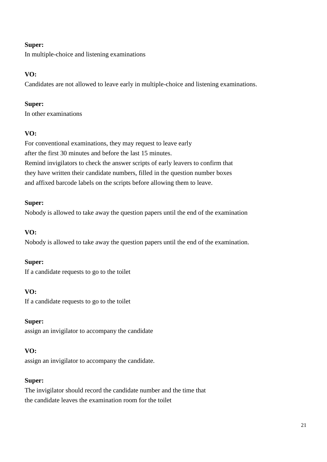In multiple-choice and listening examinations

# **VO:**

Candidates are not allowed to leave early in multiple-choice and listening examinations.

# **Super:**

In other examinations

# **VO:**

For conventional examinations, they may request to leave early after the first 30 minutes and before the last 15 minutes. Remind invigilators to check the answer scripts of early leavers to confirm that they have written their candidate numbers, filled in the question number boxes and affixed barcode labels on the scripts before allowing them to leave.

# **Super:**

Nobody is allowed to take away the question papers until the end of the examination

# **VO:**

Nobody is allowed to take away the question papers until the end of the examination.

# **Super:**

If a candidate requests to go to the toilet

# **VO:**

If a candidate requests to go to the toilet

## **Super:**

assign an invigilator to accompany the candidate

## **VO:**

assign an invigilator to accompany the candidate.

## **Super:**

The invigilator should record the candidate number and the time that the candidate leaves the examination room for the toilet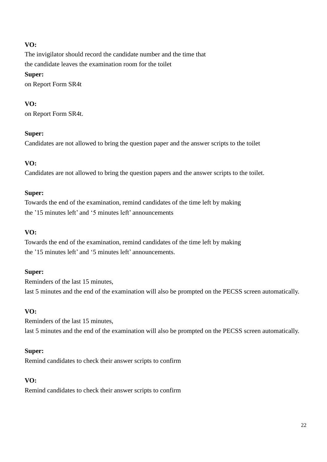The invigilator should record the candidate number and the time that the candidate leaves the examination room for the toilet **Super:** on Report Form SR4t

## **VO:**

on Report Form SR4t.

### **Super:**

Candidates are not allowed to bring the question paper and the answer scripts to the toilet

## **VO:**

Candidates are not allowed to bring the question papers and the answer scripts to the toilet.

### **Super:**

Towards the end of the examination, remind candidates of the time left by making the '15 minutes left' and '5 minutes left' announcements

### **VO:**

Towards the end of the examination, remind candidates of the time left by making the '15 minutes left' and '5 minutes left' announcements.

### **Super:**

Reminders of the last 15 minutes, last 5 minutes and the end of the examination will also be prompted on the PECSS screen automatically.

### **VO:**

Reminders of the last 15 minutes, last 5 minutes and the end of the examination will also be prompted on the PECSS screen automatically.

### **Super:**

Remind candidates to check their answer scripts to confirm

## **VO:**

Remind candidates to check their answer scripts to confirm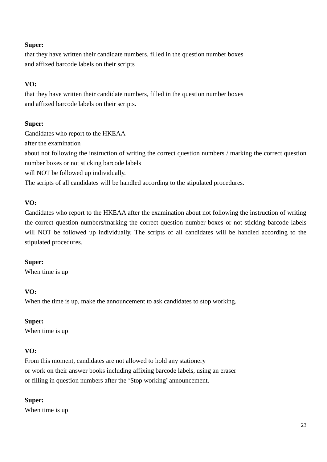that they have written their candidate numbers, filled in the question number boxes and affixed barcode labels on their scripts

# **VO:**

that they have written their candidate numbers, filled in the question number boxes and affixed barcode labels on their scripts.

### **Super:**

Candidates who report to the HKEAA after the examination about not following the instruction of writing the correct question numbers / marking the correct question number boxes or not sticking barcode labels will NOT be followed up individually. The scripts of all candidates will be handled according to the stipulated procedures.

## **VO:**

Candidates who report to the HKEAA after the examination about not following the instruction of writing the correct question numbers/marking the correct question number boxes or not sticking barcode labels will NOT be followed up individually. The scripts of all candidates will be handled according to the stipulated procedures.

## **Super:**

When time is up

## **VO:**

When the time is up, make the announcement to ask candidates to stop working.

## **Super:**

When time is up

## **VO:**

From this moment, candidates are not allowed to hold any stationery or work on their answer books including affixing barcode labels, using an eraser or filling in question numbers after the 'Stop working' announcement.

## **Super:**

When time is up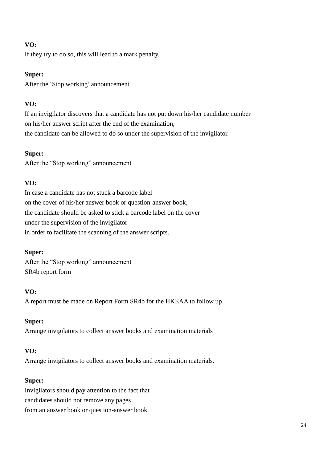If they try to do so, this will lead to a mark penalty.

### **Super:**

After the 'Stop working' announcement

## **VO:**

If an invigilator discovers that a candidate has not put down his/her candidate number on his/her answer script after the end of the examination, the candidate can be allowed to do so under the supervision of the invigilator.

### **Super:**

After the "Stop working" announcement

## **VO:**

In case a candidate has not stuck a barcode label on the cover of his/her answer book or question-answer book, the candidate should be asked to stick a barcode label on the cover under the supervision of the invigilator in order to facilitate the scanning of the answer scripts.

## **Super:**

After the "Stop working" announcement SR4b report form

### **VO:**

A report must be made on Report Form SR4b for the HKEAA to follow up.

### **Super:**

Arrange invigilators to collect answer books and examination materials

## **VO:**

Arrange invigilators to collect answer books and examination materials.

## **Super:**

Invigilators should pay attention to the fact that candidates should not remove any pages from an answer book or question-answer book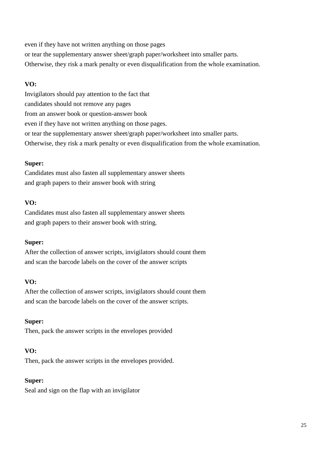even if they have not written anything on those pages or tear the supplementary answer sheet/graph paper/worksheet into smaller parts. Otherwise, they risk a mark penalty or even disqualification from the whole examination.

### **VO:**

Invigilators should pay attention to the fact that candidates should not remove any pages from an answer book or question-answer book even if they have not written anything on those pages. or tear the supplementary answer sheet/graph paper/worksheet into smaller parts. Otherwise, they risk a mark penalty or even disqualification from the whole examination.

### **Super:**

Candidates must also fasten all supplementary answer sheets and graph papers to their answer book with string

### **VO:**

Candidates must also fasten all supplementary answer sheets and graph papers to their answer book with string.

### **Super:**

After the collection of answer scripts, invigilators should count them and scan the barcode labels on the cover of the answer scripts

## **VO:**

After the collection of answer scripts, invigilators should count them and scan the barcode labels on the cover of the answer scripts.

### **Super:**

Then, pack the answer scripts in the envelopes provided

## **VO:**

Then, pack the answer scripts in the envelopes provided.

### **Super:**

Seal and sign on the flap with an invigilator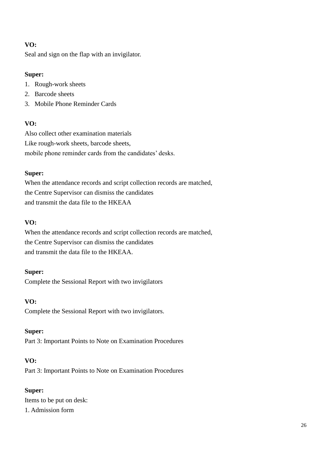Seal and sign on the flap with an invigilator.

# **Super:**

- 1. Rough-work sheets
- 2. Barcode sheets
- 3. Mobile Phone Reminder Cards

# **VO:**

Also collect other examination materials Like rough-work sheets, barcode sheets, mobile phone reminder cards from the candidates' desks.

# **Super:**

When the attendance records and script collection records are matched, the Centre Supervisor can dismiss the candidates and transmit the data file to the HKEAA

# **VO:**

When the attendance records and script collection records are matched, the Centre Supervisor can dismiss the candidates and transmit the data file to the HKEAA.

## **Super:**

Complete the Sessional Report with two invigilators

## **VO:**

Complete the Sessional Report with two invigilators.

# **Super:**

Part 3: Important Points to Note on Examination Procedures

# **VO:**

Part 3: Important Points to Note on Examination Procedures

# **Super:**

Items to be put on desk: 1. Admission form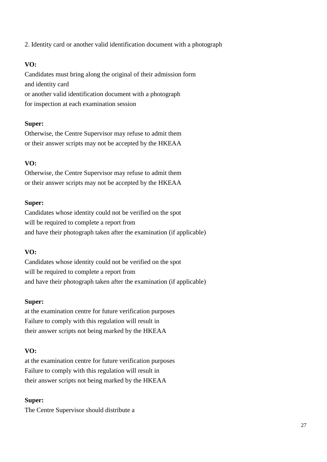2. Identity card or another valid identification document with a photograph

# **VO:**

Candidates must bring along the original of their admission form and identity card or another valid identification document with a photograph for inspection at each examination session

### **Super:**

Otherwise, the Centre Supervisor may refuse to admit them or their answer scripts may not be accepted by the HKEAA

## **VO:**

Otherwise, the Centre Supervisor may refuse to admit them or their answer scripts may not be accepted by the HKEAA

### **Super:**

Candidates whose identity could not be verified on the spot will be required to complete a report from and have their photograph taken after the examination (if applicable)

## **VO:**

Candidates whose identity could not be verified on the spot will be required to complete a report from and have their photograph taken after the examination (if applicable)

### **Super:**

at the examination centre for future verification purposes Failure to comply with this regulation will result in their answer scripts not being marked by the HKEAA

## **VO:**

at the examination centre for future verification purposes Failure to comply with this regulation will result in their answer scripts not being marked by the HKEAA

## **Super:**

The Centre Supervisor should distribute a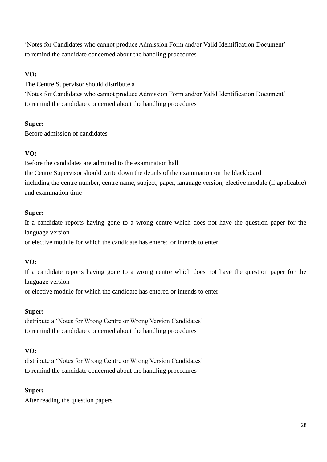'Notes for Candidates who cannot produce Admission Form and/or Valid Identification Document' to remind the candidate concerned about the handling procedures

# **VO:**

The Centre Supervisor should distribute a

'Notes for Candidates who cannot produce Admission Form and/or Valid Identification Document' to remind the candidate concerned about the handling procedures

## **Super:**

Before admission of candidates

## **VO:**

Before the candidates are admitted to the examination hall the Centre Supervisor should write down the details of the examination on the blackboard including the centre number, centre name, subject, paper, language version, elective module (if applicable) and examination time

## **Super:**

If a candidate reports having gone to a wrong centre which does not have the question paper for the language version

or elective module for which the candidate has entered or intends to enter

# **VO:**

If a candidate reports having gone to a wrong centre which does not have the question paper for the language version

or elective module for which the candidate has entered or intends to enter

## **Super:**

distribute a 'Notes for Wrong Centre or Wrong Version Candidates' to remind the candidate concerned about the handling procedures

## **VO:**

distribute a 'Notes for Wrong Centre or Wrong Version Candidates' to remind the candidate concerned about the handling procedures

## **Super:**

After reading the question papers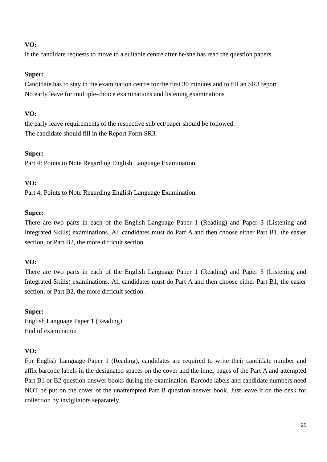If the candidate requests to move to a suitable centre after he/she has read the question papers

### **Super:**

Candidate has to stay in the examination centre for the first 30 minutes and to fill an SR3 report No early leave for multiple-choice examinations and listening examinations

### **VO:**

the early leave requirements of the respective subject/paper should be followed. The candidate should fill in the Report Form SR3.

### **Super:**

Part 4: Points to Note Regarding English Language Examination.

### **VO:**

Part 4: Points to Note Regarding English Language Examination.

### **Super:**

There are two parts in each of the English Language Paper 1 (Reading) and Paper 3 (Listening and Integrated Skills) examinations. All candidates must do Part A and then choose either Part B1, the easier section, or Part B2, the more difficult section.

## **VO:**

There are two parts in each of the English Language Paper 1 (Reading) and Paper 3 (Listening and Integrated Skills) examinations. All candidates must do Part A and then choose either Part B1, the easier section, or Part B2, the more difficult section.

### **Super:**

English Language Paper 1 (Reading) End of examination

## **VO:**

For English Language Paper 1 (Reading), candidates are required to write their candidate number and affix barcode labels in the designated spaces on the cover and the inner pages of the Part A and attempted Part B1 or B2 question-answer books during the examination. Barcode labels and candidate numbers need NOT be put on the cover of the unattempted Part B question-answer book. Just leave it on the desk for collection by invigilators separately.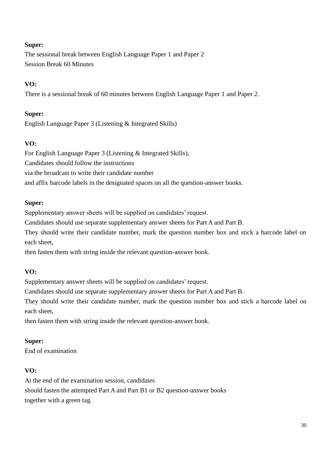The sessional break between English Language Paper 1 and Paper 2 Session Break 60 Minutes

## **VO:**

There is a sessional break of 60 minutes between English Language Paper 1 and Paper 2.

### **Super:**

English Language Paper 3 (Listening & Integrated Skills)

## **VO:**

For English Language Paper 3 (Listening & Integrated Skills), Candidates should follow the instructions via the broadcast to write their candidate number and affix barcode labels in the designated spaces on all the question-answer books.

### **Super:**

Supplementary answer sheets will be supplied on candidates' request.

Candidates should use separate supplementary answer sheets for Part A and Part B.

They should write their candidate number, mark the question number box and stick a barcode label on each sheet,

then fasten them with string inside the relevant question-answer book.

### **VO:**

Supplementary answer sheets will be supplied on candidates' request.

Candidates should use separate supplementary answer sheets for Part A and Part B.

They should write their candidate number, mark the question number box and stick a barcode label on each sheet,

then fasten them with string inside the relevant question-answer book.

### **Super:**

End of examination

### **VO:**

At the end of the examination session, candidates should fasten the attempted Part A and Part B1 or B2 question-answer books together with a green tag.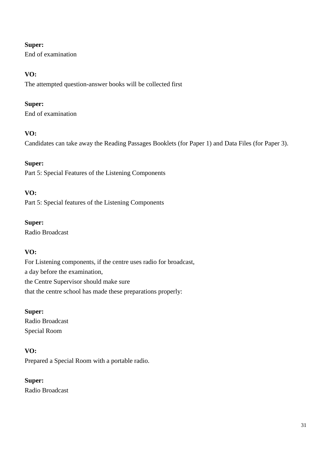End of examination

# **VO:**

The attempted question-answer books will be collected first

# **Super:**

End of examination

# **VO:**

Candidates can take away the Reading Passages Booklets (for Paper 1) and Data Files (for Paper 3).

# **Super:**

Part 5: Special Features of the Listening Components

# **VO:**

Part 5: Special features of the Listening Components

## **Super:**

Radio Broadcast

# **VO:**

For Listening components, if the centre uses radio for broadcast, a day before the examination, the Centre Supervisor should make sure that the centre school has made these preparations properly:

# **Super:**

Radio Broadcast Special Room

# **VO:**

Prepared a Special Room with a portable radio.

# **Super:**

Radio Broadcast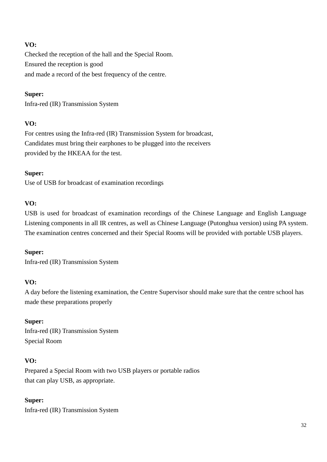Checked the reception of the hall and the Special Room. Ensured the reception is good and made a record of the best frequency of the centre.

### **Super:**

Infra-red (IR) Transmission System

### **VO:**

For centres using the Infra-red (IR) Transmission System for broadcast, Candidates must bring their earphones to be plugged into the receivers provided by the HKEAA for the test.

### **Super:**

Use of USB for broadcast of examination recordings

### **VO:**

USB is used for broadcast of examination recordings of the Chinese Language and English Language Listening components in all IR centres, as well as Chinese Language (Putonghua version) using PA system. The examination centres concerned and their Special Rooms will be provided with portable USB players.

### **Super:**

Infra-red (IR) Transmission System

### **VO:**

A day before the listening examination, the Centre Supervisor should make sure that the centre school has made these preparations properly

### **Super:**

Infra-red (IR) Transmission System Special Room

## **VO:**

Prepared a Special Room with two USB players or portable radios that can play USB, as appropriate.

## **Super:**

Infra-red (IR) Transmission System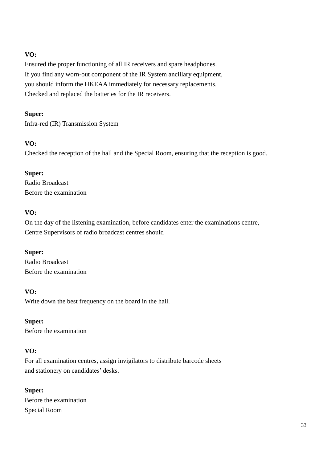Ensured the proper functioning of all IR receivers and spare headphones. If you find any worn-out component of the IR System ancillary equipment, you should inform the HKEAA immediately for necessary replacements. Checked and replaced the batteries for the IR receivers.

## **Super:**

Infra-red (IR) Transmission System

## **VO:**

Checked the reception of the hall and the Special Room, ensuring that the reception is good.

### **Super:**

Radio Broadcast Before the examination

### **VO:**

On the day of the listening examination, before candidates enter the examinations centre, Centre Supervisors of radio broadcast centres should

### **Super:**

Radio Broadcast Before the examination

### **VO:**

Write down the best frequency on the board in the hall.

### **Super:**

Before the examination

## **VO:**

For all examination centres, assign invigilators to distribute barcode sheets and stationery on candidates' desks.

## **Super:**

Before the examination Special Room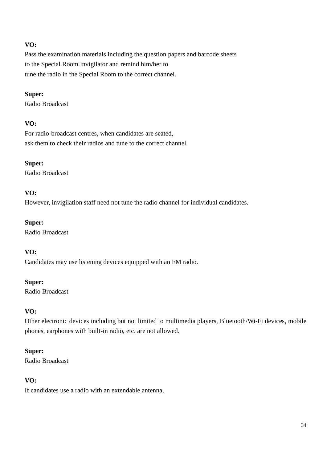Pass the examination materials including the question papers and barcode sheets to the Special Room Invigilator and remind him/her to tune the radio in the Special Room to the correct channel.

### **Super:**

Radio Broadcast

### **VO:**

For radio-broadcast centres, when candidates are seated, ask them to check their radios and tune to the correct channel.

### **Super:**

Radio Broadcast

## **VO:**

However, invigilation staff need not tune the radio channel for individual candidates.

### **Super:**

Radio Broadcast

## **VO:**

Candidates may use listening devices equipped with an FM radio.

### **Super:**

Radio Broadcast

## **VO:**

Other electronic devices including but not limited to multimedia players, Bluetooth/Wi-Fi devices, mobile phones, earphones with built-in radio, etc. are not allowed.

### **Super:**

Radio Broadcast

## **VO:**

If candidates use a radio with an extendable antenna,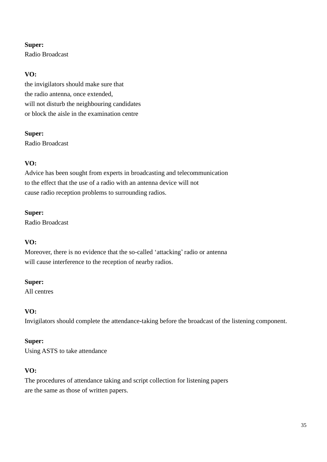Radio Broadcast

# **VO:**

the invigilators should make sure that the radio antenna, once extended, will not disturb the neighbouring candidates or block the aisle in the examination centre

### **Super:**

Radio Broadcast

## **VO:**

Advice has been sought from experts in broadcasting and telecommunication to the effect that the use of a radio with an antenna device will not cause radio reception problems to surrounding radios.

### **Super:**

Radio Broadcast

## **VO:**

Moreover, there is no evidence that the so-called 'attacking' radio or antenna will cause interference to the reception of nearby radios.

### **Super:**

All centres

## **VO:**

Invigilators should complete the attendance-taking before the broadcast of the listening component.

## **Super:**

Using ASTS to take attendance

## **VO:**

The procedures of attendance taking and script collection for listening papers are the same as those of written papers.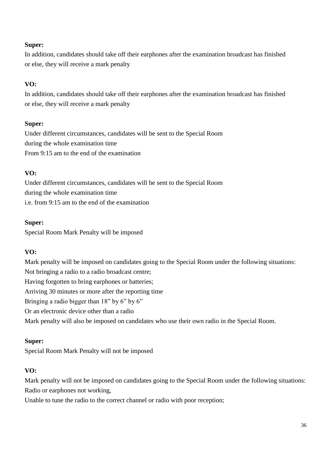In addition, candidates should take off their earphones after the examination broadcast has finished or else, they will receive a mark penalty

## **VO:**

In addition, candidates should take off their earphones after the examination broadcast has finished or else, they will receive a mark penalty

## **Super:**

Under different circumstances, candidates will be sent to the Special Room during the whole examination time From 9:15 am to the end of the examination

## **VO:**

Under different circumstances, candidates will be sent to the Special Room during the whole examination time i.e. from 9:15 am to the end of the examination

### **Super:**

Special Room Mark Penalty will be imposed

# **VO:**

Mark penalty will be imposed on candidates going to the Special Room under the following situations: Not bringing a radio to a radio broadcast centre; Having forgotten to bring earphones or batteries; Arriving 30 minutes or more after the reporting time Bringing a radio bigger than 18" by 6" by 6" Or an electronic device other than a radio Mark penalty will also be imposed on candidates who use their own radio in the Special Room.

## **Super:**

Special Room Mark Penalty will not be imposed

## **VO:**

Mark penalty will not be imposed on candidates going to the Special Room under the following situations: Radio or earphones not working,

Unable to tune the radio to the correct channel or radio with poor reception;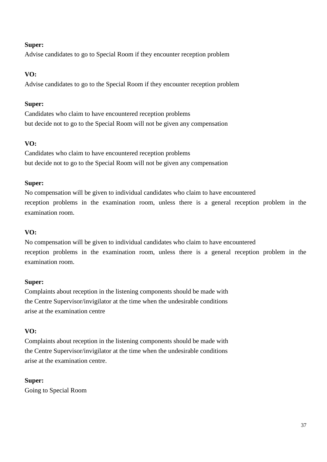Advise candidates to go to Special Room if they encounter reception problem

# **VO:**

Advise candidates to go to the Special Room if they encounter reception problem

## **Super:**

Candidates who claim to have encountered reception problems but decide not to go to the Special Room will not be given any compensation

# **VO:**

Candidates who claim to have encountered reception problems but decide not to go to the Special Room will not be given any compensation

## **Super:**

No compensation will be given to individual candidates who claim to have encountered reception problems in the examination room, unless there is a general reception problem in the examination room.

## **VO:**

No compensation will be given to individual candidates who claim to have encountered reception problems in the examination room, unless there is a general reception problem in the examination room.

## **Super:**

Complaints about reception in the listening components should be made with the Centre Supervisor/invigilator at the time when the undesirable conditions arise at the examination centre

## **VO:**

Complaints about reception in the listening components should be made with the Centre Supervisor/invigilator at the time when the undesirable conditions arise at the examination centre.

## **Super:**

Going to Special Room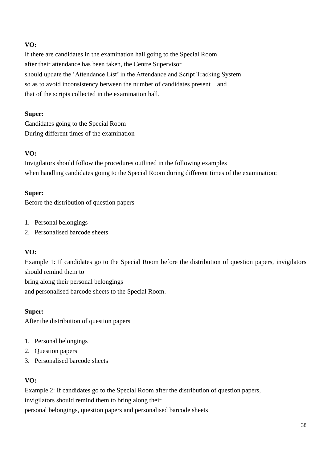If there are candidates in the examination hall going to the Special Room after their attendance has been taken, the Centre Supervisor should update the 'Attendance List' in the Attendance and Script Tracking System so as to avoid inconsistency between the number of candidates present and that of the scripts collected in the examination hall.

### **Super:**

Candidates going to the Special Room During different times of the examination

### **VO:**

Invigilators should follow the procedures outlined in the following examples when handling candidates going to the Special Room during different times of the examination:

### **Super:**

Before the distribution of question papers

- 1. Personal belongings
- 2. Personalised barcode sheets

### **VO:**

Example 1: If candidates go to the Special Room before the distribution of question papers, invigilators should remind them to

bring along their personal belongings

and personalised barcode sheets to the Special Room.

### **Super:**

After the distribution of question papers

- 1. Personal belongings
- 2. Question papers
- 3. Personalised barcode sheets

## **VO:**

Example 2: If candidates go to the Special Room after the distribution of question papers, invigilators should remind them to bring along their personal belongings, question papers and personalised barcode sheets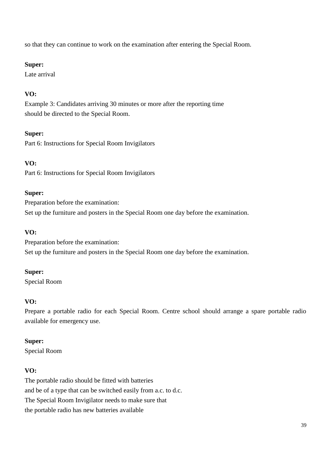so that they can continue to work on the examination after entering the Special Room.

### **Super:**

Late arrival

# **VO:**

Example 3: Candidates arriving 30 minutes or more after the reporting time should be directed to the Special Room.

# **Super:**

Part 6: Instructions for Special Room Invigilators

# **VO:**

Part 6: Instructions for Special Room Invigilators

### **Super:**

Preparation before the examination: Set up the furniture and posters in the Special Room one day before the examination.

## **VO:**

Preparation before the examination: Set up the furniture and posters in the Special Room one day before the examination.

## **Super:**

Special Room

## **VO:**

Prepare a portable radio for each Special Room. Centre school should arrange a spare portable radio available for emergency use.

## **Super:**

Special Room

## **VO:**

The portable radio should be fitted with batteries and be of a type that can be switched easily from a.c. to d.c. The Special Room Invigilator needs to make sure that the portable radio has new batteries available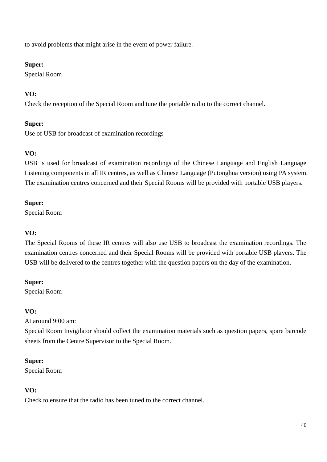to avoid problems that might arise in the event of power failure.

### **Super:**

Special Room

# **VO:**

Check the reception of the Special Room and tune the portable radio to the correct channel.

## **Super:**

Use of USB for broadcast of examination recordings

## **VO:**

USB is used for broadcast of examination recordings of the Chinese Language and English Language Listening components in all IR centres, as well as Chinese Language (Putonghua version) using PA system. The examination centres concerned and their Special Rooms will be provided with portable USB players.

### **Super:**

Special Room

## **VO:**

The Special Rooms of these IR centres will also use USB to broadcast the examination recordings. The examination centres concerned and their Special Rooms will be provided with portable USB players. The USB will be delivered to the centres together with the question papers on the day of the examination.

## **Super:**

Special Room

## **VO:**

At around 9:00 am:

Special Room Invigilator should collect the examination materials such as question papers, spare barcode sheets from the Centre Supervisor to the Special Room.

## **Super:**

Special Room

## **VO:**

Check to ensure that the radio has been tuned to the correct channel.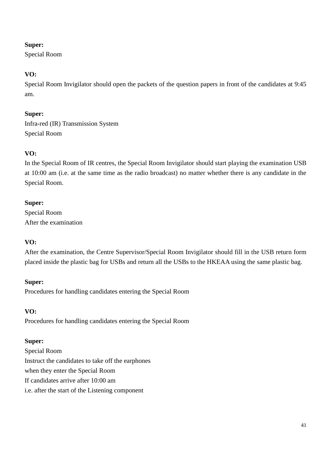Special Room

# **VO:**

Special Room Invigilator should open the packets of the question papers in front of the candidates at 9:45 am.

# **Super:**

Infra-red (IR) Transmission System Special Room

# **VO:**

In the Special Room of IR centres, the Special Room Invigilator should start playing the examination USB at 10:00 am (i.e. at the same time as the radio broadcast) no matter whether there is any candidate in the Special Room.

## **Super:**

Special Room After the examination

## **VO:**

After the examination, the Centre Supervisor/Special Room Invigilator should fill in the USB return form placed inside the plastic bag for USBs and return all the USBs to the HKEAA using the same plastic bag.

## **Super:**

Procedures for handling candidates entering the Special Room

## **VO:**

Procedures for handling candidates entering the Special Room

## **Super:**

Special Room Instruct the candidates to take off the earphones when they enter the Special Room If candidates arrive after 10:00 am i.e. after the start of the Listening component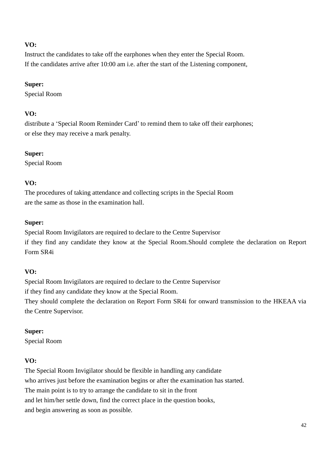Instruct the candidates to take off the earphones when they enter the Special Room. If the candidates arrive after 10:00 am i.e. after the start of the Listening component,

#### **Super:**

Special Room

### **VO:**

distribute a 'Special Room Reminder Card' to remind them to take off their earphones; or else they may receive a mark penalty.

### **Super:**

Special Room

### **VO:**

The procedures of taking attendance and collecting scripts in the Special Room are the same as those in the examination hall.

### **Super:**

Special Room Invigilators are required to declare to the Centre Supervisor if they find any candidate they know at the Special Room.Should complete the declaration on Report Form SR4i

### **VO:**

Special Room Invigilators are required to declare to the Centre Supervisor

if they find any candidate they know at the Special Room.

They should complete the declaration on Report Form SR4i for onward transmission to the HKEAA via the Centre Supervisor.

### **Super:**

Special Room

## **VO:**

The Special Room Invigilator should be flexible in handling any candidate who arrives just before the examination begins or after the examination has started. The main point is to try to arrange the candidate to sit in the front and let him/her settle down, find the correct place in the question books, and begin answering as soon as possible.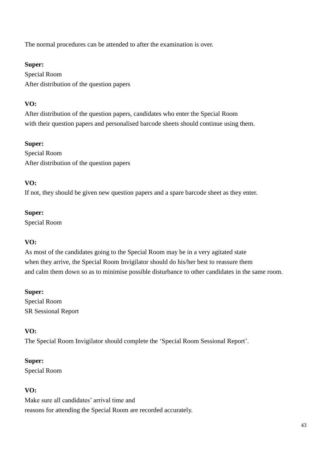The normal procedures can be attended to after the examination is over.

### **Super:**

Special Room After distribution of the question papers

# **VO:**

After distribution of the question papers, candidates who enter the Special Room with their question papers and personalised barcode sheets should continue using them.

### **Super:**

Special Room After distribution of the question papers

## **VO:**

If not, they should be given new question papers and a spare barcode sheet as they enter.

### **Super:**

Special Room

## **VO:**

As most of the candidates going to the Special Room may be in a very agitated state when they arrive, the Special Room Invigilator should do his/her best to reassure them and calm them down so as to minimise possible disturbance to other candidates in the same room.

### **Super:**

Special Room SR Sessional Report

## **VO:**

The Special Room Invigilator should complete the 'Special Room Sessional Report'.

## **Super:**

Special Room

## **VO:**

Make sure all candidates' arrival time and reasons for attending the Special Room are recorded accurately.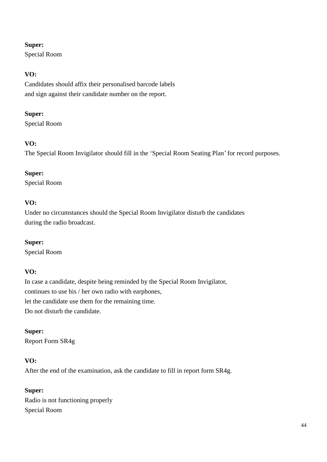Special Room

# **VO:**

Candidates should affix their personalised barcode labels and sign against their candidate number on the report.

### **Super:**

Special Room

# **VO:**

The Special Room Invigilator should fill in the 'Special Room Seating Plan' for record purposes.

## **Super:**

Special Room

# **VO:**

Under no circumstances should the Special Room Invigilator disturb the candidates during the radio broadcast.

## **Super:**

Special Room

## **VO:**

In case a candidate, despite being reminded by the Special Room Invigilator, continues to use his / her own radio with earphones, let the candidate use them for the remaining time. Do not disturb the candidate.

## **Super:**

Report Form SR4g

# **VO:**

After the end of the examination, ask the candidate to fill in report form SR4g.

## **Super:**

Radio is not functioning properly Special Room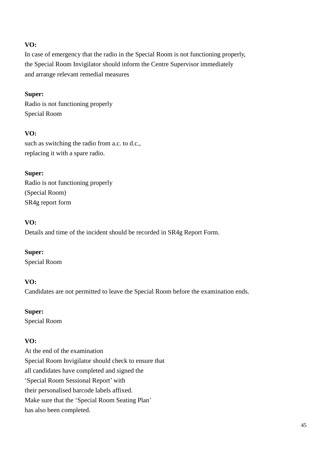In case of emergency that the radio in the Special Room is not functioning properly, the Special Room Invigilator should inform the Centre Supervisor immediately and arrange relevant remedial measures

### **Super:**

Radio is not functioning properly Special Room

## **VO:**

such as switching the radio from a.c. to d.c., replacing it with a spare radio.

**Super:** Radio is not functioning properly (Special Room) SR4g report form

### **VO:**

Details and time of the incident should be recorded in SR4g Report Form.

### **Super:**

Special Room

## **VO:**

Candidates are not permitted to leave the Special Room before the examination ends.

## **Super:**

Special Room

## **VO:**

At the end of the examination Special Room Invigilator should check to ensure that all candidates have completed and signed the 'Special Room Sessional Report' with their personalised barcode labels affixed. Make sure that the 'Special Room Seating Plan' has also been completed.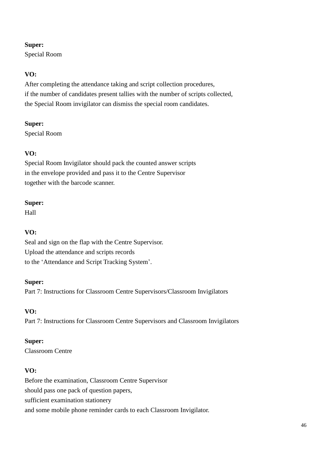Special Room

# **VO:**

After completing the attendance taking and script collection procedures, if the number of candidates present tallies with the number of scripts collected, the Special Room invigilator can dismiss the special room candidates.

### **Super:**

Special Room

# **VO:**

Special Room Invigilator should pack the counted answer scripts in the envelope provided and pass it to the Centre Supervisor together with the barcode scanner.

## **Super:**

Hall

# **VO:**

Seal and sign on the flap with the Centre Supervisor. Upload the attendance and scripts records to the 'Attendance and Script Tracking System'.

## **Super:**

Part 7: Instructions for Classroom Centre Supervisors/Classroom Invigilators

## **VO:**

Part 7: Instructions for Classroom Centre Supervisors and Classroom Invigilators

## **Super:**

Classroom Centre

## **VO:**

Before the examination, Classroom Centre Supervisor should pass one pack of question papers, sufficient examination stationery and some mobile phone reminder cards to each Classroom Invigilator.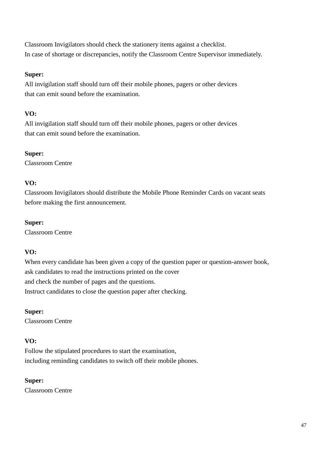Classroom Invigilators should check the stationery items against a checklist. In case of shortage or discrepancies, notify the Classroom Centre Supervisor immediately.

### **Super:**

All invigilation staff should turn off their mobile phones, pagers or other devices that can emit sound before the examination.

# **VO:**

All invigilation staff should turn off their mobile phones, pagers or other devices that can emit sound before the examination.

### **Super:**

Classroom Centre

## **VO:**

Classroom Invigilators should distribute the Mobile Phone Reminder Cards on vacant seats before making the first announcement.

### **Super:**

Classroom Centre

# **VO:**

When every candidate has been given a copy of the question paper or question-answer book, ask candidates to read the instructions printed on the cover and check the number of pages and the questions. Instruct candidates to close the question paper after checking.

## **Super:**

Classroom Centre

## **VO:**

Follow the stipulated procedures to start the examination, including reminding candidates to switch off their mobile phones.

## **Super:**

Classroom Centre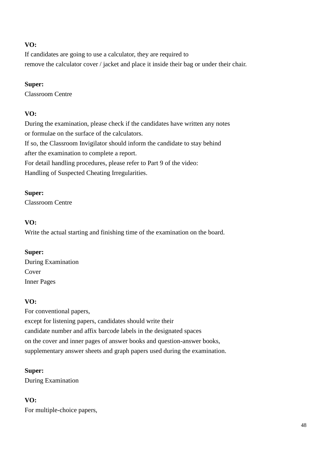If candidates are going to use a calculator, they are required to remove the calculator cover / jacket and place it inside their bag or under their chair.

### **Super:**

Classroom Centre

## **VO:**

During the examination, please check if the candidates have written any notes or formulae on the surface of the calculators. If so, the Classroom Invigilator should inform the candidate to stay behind after the examination to complete a report. For detail handling procedures, please refer to Part 9 of the video: Handling of Suspected Cheating Irregularities.

## **Super:**

Classroom Centre

# **VO:**

Write the actual starting and finishing time of the examination on the board.

# **Super:**

During Examination Cover Inner Pages

# **VO:**

For conventional papers, except for listening papers, candidates should write their candidate number and affix barcode labels in the designated spaces on the cover and inner pages of answer books and question-answer books, supplementary answer sheets and graph papers used during the examination.

## **Super:**

During Examination

# **VO:**

For multiple-choice papers,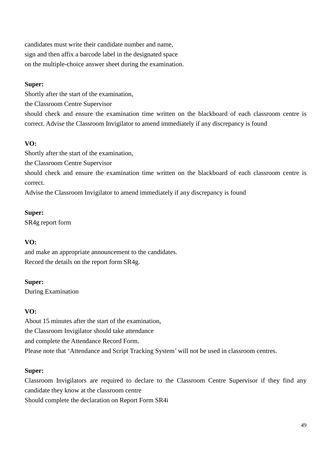candidates must write their candidate number and name, sign and then affix a barcode label in the designated space on the multiple-choice answer sheet during the examination.

### **Super:**

Shortly after the start of the examination,

the Classroom Centre Supervisor

should check and ensure the examination time written on the blackboard of each classroom centre is correct. Advise the Classroom Invigilator to amend immediately if any discrepancy is found

# **VO:**

Shortly after the start of the examination,

the Classroom Centre Supervisor

should check and ensure the examination time written on the blackboard of each classroom centre is correct.

Advise the Classroom Invigilator to amend immediately if any discrepancy is found

### **Super:**

SR4g report form

## **VO:**

and make an appropriate announcement to the candidates. Record the details on the report form SR4g.

## **Super:**

During Examination

## **VO:**

About 15 minutes after the start of the examination, the Classroom Invigilator should take attendance and complete the Attendance Record Form. Please note that 'Attendance and Script Tracking System' will not be used in classroom centres.

## **Super:**

Classroom Invigilators are required to declare to the Classroom Centre Supervisor if they find any candidate they know at the classroom centre

Should complete the declaration on Report Form SR4i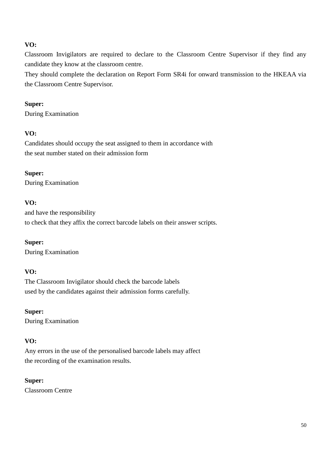Classroom Invigilators are required to declare to the Classroom Centre Supervisor if they find any candidate they know at the classroom centre.

They should complete the declaration on Report Form SR4i for onward transmission to the HKEAA via the Classroom Centre Supervisor.

#### **Super:**

During Examination

### **VO:**

Candidates should occupy the seat assigned to them in accordance with the seat number stated on their admission form

#### **Super:**

During Examination

### **VO:**

and have the responsibility to check that they affix the correct barcode labels on their answer scripts.

### **Super:**

During Examination

### **VO:**

The Classroom Invigilator should check the barcode labels used by the candidates against their admission forms carefully.

**Super:** During Examination

### **VO:**

Any errors in the use of the personalised barcode labels may affect the recording of the examination results.

#### **Super:**

Classroom Centre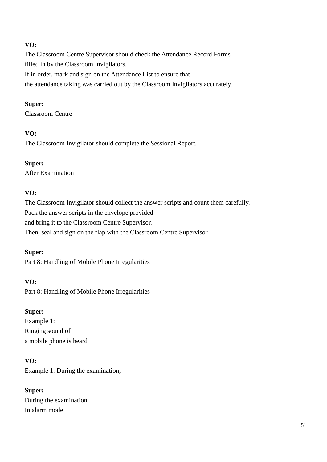The Classroom Centre Supervisor should check the Attendance Record Forms filled in by the Classroom Invigilators.

If in order, mark and sign on the Attendance List to ensure that

the attendance taking was carried out by the Classroom Invigilators accurately.

### **Super:**

Classroom Centre

# **VO:**

The Classroom Invigilator should complete the Sessional Report.

# **Super:**

After Examination

# **VO:**

The Classroom Invigilator should collect the answer scripts and count them carefully. Pack the answer scripts in the envelope provided and bring it to the Classroom Centre Supervisor. Then, seal and sign on the flap with the Classroom Centre Supervisor.

## **Super:**

Part 8: Handling of Mobile Phone Irregularities

## **VO:**

Part 8: Handling of Mobile Phone Irregularities

## **Super:**

Example 1: Ringing sound of a mobile phone is heard

# **VO:**

Example 1: During the examination,

# **Super:**

During the examination In alarm mode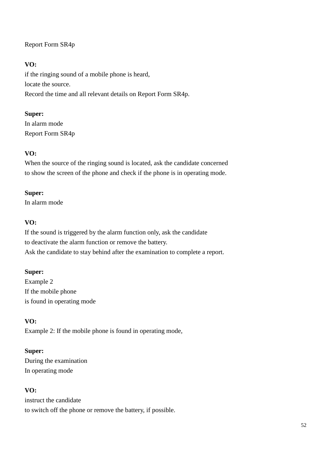# Report Form SR4p

## **VO:**

if the ringing sound of a mobile phone is heard, locate the source. Record the time and all relevant details on Report Form SR4p.

## **Super:**

In alarm mode Report Form SR4p

## **VO:**

When the source of the ringing sound is located, ask the candidate concerned to show the screen of the phone and check if the phone is in operating mode.

### **Super:**

In alarm mode

### **VO:**

If the sound is triggered by the alarm function only, ask the candidate to deactivate the alarm function or remove the battery. Ask the candidate to stay behind after the examination to complete a report.

### **Super:**

Example 2 If the mobile phone is found in operating mode

## **VO:**

Example 2: If the mobile phone is found in operating mode,

## **Super:**

During the examination In operating mode

## **VO:**

instruct the candidate to switch off the phone or remove the battery, if possible.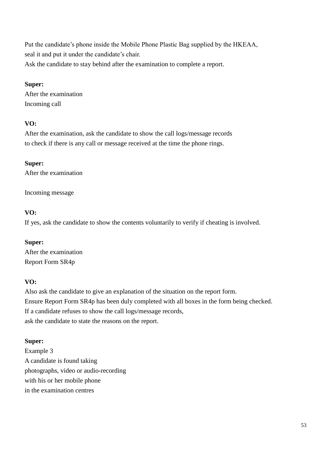Put the candidate's phone inside the Mobile Phone Plastic Bag supplied by the HKEAA, seal it and put it under the candidate's chair. Ask the candidate to stay behind after the examination to complete a report.

#### **Super:**

After the examination Incoming call

### **VO:**

After the examination, ask the candidate to show the call logs/message records to check if there is any call or message received at the time the phone rings.

### **Super:**

After the examination

Incoming message

### **VO:**

If yes, ask the candidate to show the contents voluntarily to verify if cheating is involved.

## **Super:**

After the examination Report Form SR4p

## **VO:**

Also ask the candidate to give an explanation of the situation on the report form. Ensure Report Form SR4p has been duly completed with all boxes in the form being checked. If a candidate refuses to show the call logs/message records, ask the candidate to state the reasons on the report.

## **Super:**

Example 3 A candidate is found taking photographs, video or audio-recording with his or her mobile phone in the examination centres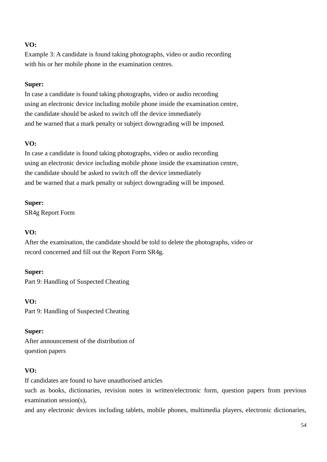Example 3: A candidate is found taking photographs, video or audio recording with his or her mobile phone in the examination centres.

#### **Super:**

In case a candidate is found taking photographs, video or audio recording using an electronic device including mobile phone inside the examination centre, the candidate should be asked to switch off the device immediately and be warned that a mark penalty or subject downgrading will be imposed.

### **VO:**

In case a candidate is found taking photographs, video or audio recording using an electronic device including mobile phone inside the examination centre, the candidate should be asked to switch off the device immediately and be warned that a mark penalty or subject downgrading will be imposed.

#### **Super:**

SR4g Report Form

### **VO:**

After the examination, the candidate should be told to delete the photographs, video or record concerned and fill out the Report Form SR4g.

### **Super:**

Part 9: Handling of Suspected Cheating

**VO:**

Part 9: Handling of Suspected Cheating

### **Super:**

After announcement of the distribution of question papers

### **VO:**

If candidates are found to have unauthorised articles

such as books, dictionaries, revision notes in written/electronic form, question papers from previous examination session(s),

and any electronic devices including tablets, mobile phones, multimedia players, electronic dictionaries,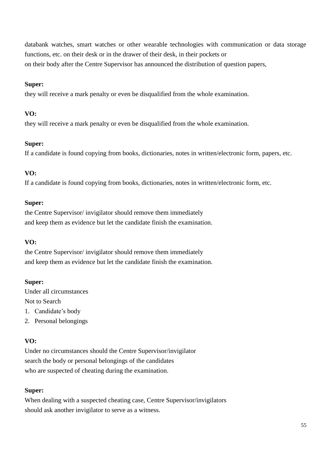databank watches, smart watches or other wearable technologies with communication or data storage functions, etc. on their desk or in the drawer of their desk, in their pockets or on their body after the Centre Supervisor has announced the distribution of question papers,

### **Super:**

they will receive a mark penalty or even be disqualified from the whole examination.

### **VO:**

they will receive a mark penalty or even be disqualified from the whole examination.

### **Super:**

If a candidate is found copying from books, dictionaries, notes in written/electronic form, papers, etc.

## **VO:**

If a candidate is found copying from books, dictionaries, notes in written/electronic form, etc.

### **Super:**

the Centre Supervisor/ invigilator should remove them immediately and keep them as evidence but let the candidate finish the examination.

## **VO:**

the Centre Supervisor/ invigilator should remove them immediately and keep them as evidence but let the candidate finish the examination.

## **Super:**

Under all circumstances Not to Search

- 1. Candidate's body
- 2. Personal belongings

## **VO:**

Under no circumstances should the Centre Supervisor/invigilator search the body or personal belongings of the candidates who are suspected of cheating during the examination.

## **Super:**

When dealing with a suspected cheating case, Centre Supervisor/invigilators should ask another invigilator to serve as a witness.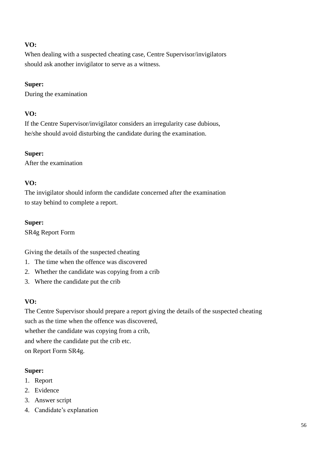When dealing with a suspected cheating case, Centre Supervisor/invigilators should ask another invigilator to serve as a witness.

## **Super:**

During the examination

# **VO:**

If the Centre Supervisor/invigilator considers an irregularity case dubious, he/she should avoid disturbing the candidate during the examination.

# **Super:**

After the examination

# **VO:**

The invigilator should inform the candidate concerned after the examination to stay behind to complete a report.

## **Super:**

SR4g Report Form

Giving the details of the suspected cheating

- 1. The time when the offence was discovered
- 2. Whether the candidate was copying from a crib
- 3. Where the candidate put the crib

## **VO:**

The Centre Supervisor should prepare a report giving the details of the suspected cheating such as the time when the offence was discovered, whether the candidate was copying from a crib, and where the candidate put the crib etc. on Report Form SR4g.

## **Super:**

- 1. Report
- 2. Evidence
- 3. Answer script
- 4. Candidate's explanation